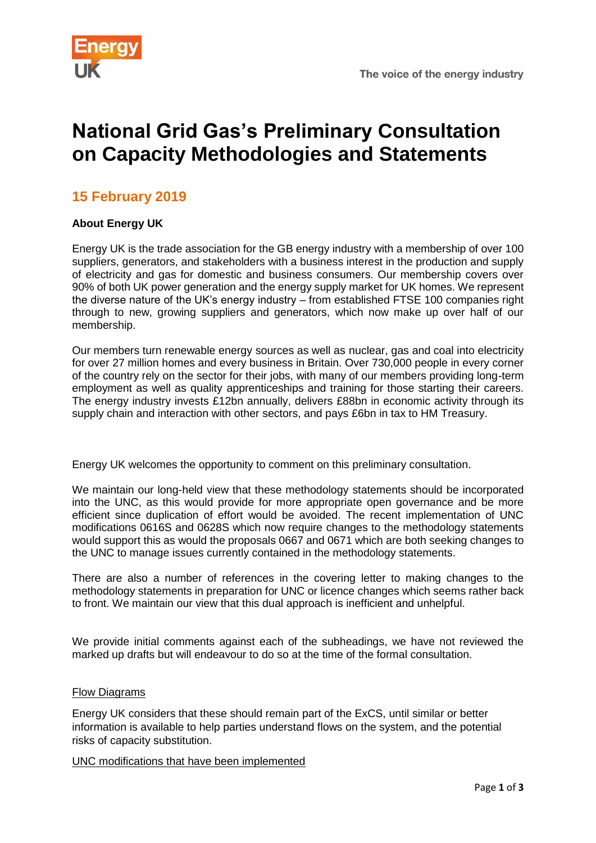

# **National Grid Gas's Preliminary Consultation on Capacity Methodologies and Statements**

## **15 February 2019**

#### **About Energy UK**

Energy UK is the trade association for the GB energy industry with a membership of over 100 suppliers, generators, and stakeholders with a business interest in the production and supply of electricity and gas for domestic and business consumers. Our membership covers over 90% of both UK power generation and the energy supply market for UK homes. We represent the diverse nature of the UK's energy industry – from established FTSE 100 companies right through to new, growing suppliers and generators, which now make up over half of our membership.

Our members turn renewable energy sources as well as nuclear, gas and coal into electricity for over 27 million homes and every business in Britain. Over 730,000 people in every corner of the country rely on the sector for their jobs, with many of our members providing long-term employment as well as quality apprenticeships and training for those starting their careers. The energy industry invests £12bn annually, delivers £88bn in economic activity through its supply chain and interaction with other sectors, and pays £6bn in tax to HM Treasury.

Energy UK welcomes the opportunity to comment on this preliminary consultation.

We maintain our long-held view that these methodology statements should be incorporated into the UNC, as this would provide for more appropriate open governance and be more efficient since duplication of effort would be avoided. The recent implementation of UNC modifications 0616S and 0628S which now require changes to the methodology statements would support this as would the proposals 0667 and 0671 which are both seeking changes to the UNC to manage issues currently contained in the methodology statements.

There are also a number of references in the covering letter to making changes to the methodology statements in preparation for UNC or licence changes which seems rather back to front. We maintain our view that this dual approach is inefficient and unhelpful.

We provide initial comments against each of the subheadings, we have not reviewed the marked up drafts but will endeavour to do so at the time of the formal consultation.

#### Flow Diagrams

Energy UK considers that these should remain part of the ExCS, until similar or better information is available to help parties understand flows on the system, and the potential risks of capacity substitution.

UNC modifications that have been implemented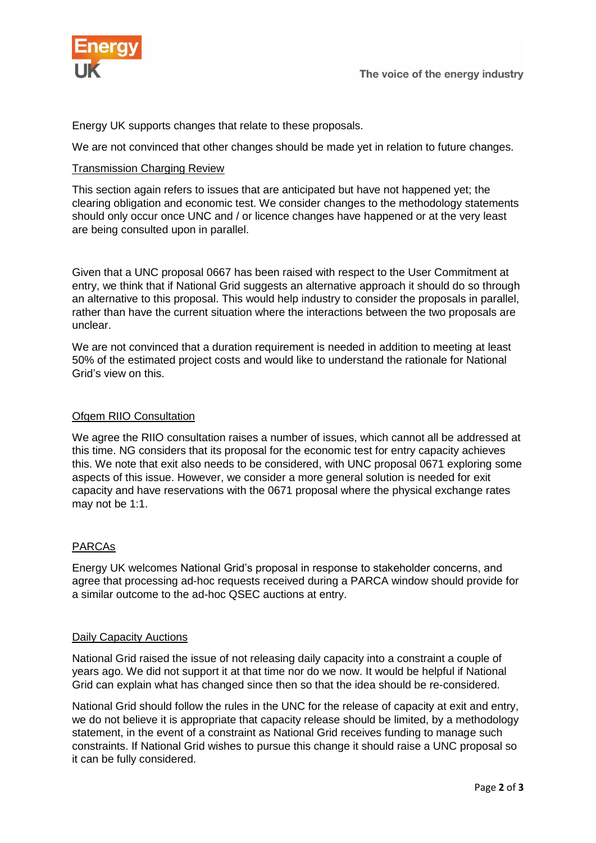

Energy UK supports changes that relate to these proposals.

We are not convinced that other changes should be made yet in relation to future changes.

#### Transmission Charging Review

This section again refers to issues that are anticipated but have not happened yet; the clearing obligation and economic test. We consider changes to the methodology statements should only occur once UNC and / or licence changes have happened or at the very least are being consulted upon in parallel.

Given that a UNC proposal 0667 has been raised with respect to the User Commitment at entry, we think that if National Grid suggests an alternative approach it should do so through an alternative to this proposal. This would help industry to consider the proposals in parallel, rather than have the current situation where the interactions between the two proposals are unclear.

We are not convinced that a duration requirement is needed in addition to meeting at least 50% of the estimated project costs and would like to understand the rationale for National Grid's view on this.

#### Ofgem RIIO Consultation

We agree the RIIO consultation raises a number of issues, which cannot all be addressed at this time. NG considers that its proposal for the economic test for entry capacity achieves this. We note that exit also needs to be considered, with UNC proposal 0671 exploring some aspects of this issue. However, we consider a more general solution is needed for exit capacity and have reservations with the 0671 proposal where the physical exchange rates may not be 1:1.

### PARCAs

Energy UK welcomes National Grid's proposal in response to stakeholder concerns, and agree that processing ad-hoc requests received during a PARCA window should provide for a similar outcome to the ad-hoc QSEC auctions at entry.

#### Daily Capacity Auctions

National Grid raised the issue of not releasing daily capacity into a constraint a couple of years ago. We did not support it at that time nor do we now. It would be helpful if National Grid can explain what has changed since then so that the idea should be re-considered.

National Grid should follow the rules in the UNC for the release of capacity at exit and entry, we do not believe it is appropriate that capacity release should be limited, by a methodology statement, in the event of a constraint as National Grid receives funding to manage such constraints. If National Grid wishes to pursue this change it should raise a UNC proposal so it can be fully considered.